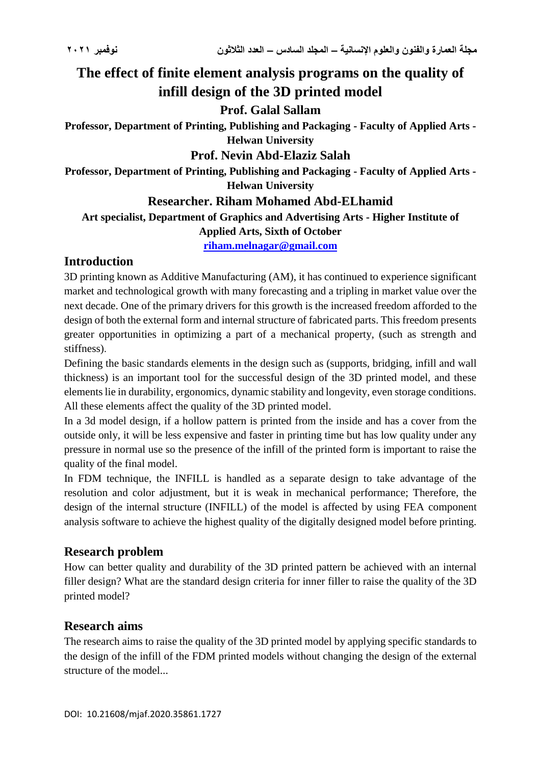# **The effect of finite element analysis programs on the quality of infill design of the 3D printed model**

# **Prof. Galal Sallam**

**Professor, Department of Printing, Publishing and Packaging - Faculty of Applied Arts - Helwan University**

#### **Prof. Nevin Abd-Elaziz Salah**

**Professor, Department of Printing, Publishing and Packaging - Faculty of Applied Arts - Helwan University**

# **Researcher. Riham Mohamed Abd-ELhamid**

**Art specialist, Department of Graphics and Advertising Arts - Higher Institute of Applied Arts, Sixth of October**

**[riham.melnagar@gmail.com](mailto:riham.melnagar@gmail.com)**

# **Introduction**

3D printing known as Additive Manufacturing (AM), it has continued to experience significant market and technological growth with many forecasting and a tripling in market value over the next decade. One of the primary drivers for this growth is the increased freedom afforded to the design of both the external form and internal structure of fabricated parts. This freedom presents greater opportunities in optimizing a part of a mechanical property, (such as strength and stiffness).

Defining the basic standards elements in the design such as (supports, bridging, infill and wall thickness) is an important tool for the successful design of the 3D printed model, and these elements lie in durability, ergonomics, dynamic stability and longevity, even storage conditions. All these elements affect the quality of the 3D printed model.

In a 3d model design, if a hollow pattern is printed from the inside and has a cover from the outside only, it will be less expensive and faster in printing time but has low quality under any pressure in normal use so the presence of the infill of the printed form is important to raise the quality of the final model.

In FDM technique, the INFILL is handled as a separate design to take advantage of the resolution and color adjustment, but it is weak in mechanical performance; Therefore, the design of the internal structure (INFILL) of the model is affected by using FEA component analysis software to achieve the highest quality of the digitally designed model before printing.

### **Research problem**

How can better quality and durability of the 3D printed pattern be achieved with an internal filler design? What are the standard design criteria for inner filler to raise the quality of the 3D printed model?

### **Research aims**

The research aims to raise the quality of the 3D printed model by applying specific standards to the design of the infill of the FDM printed models without changing the design of the external structure of the model...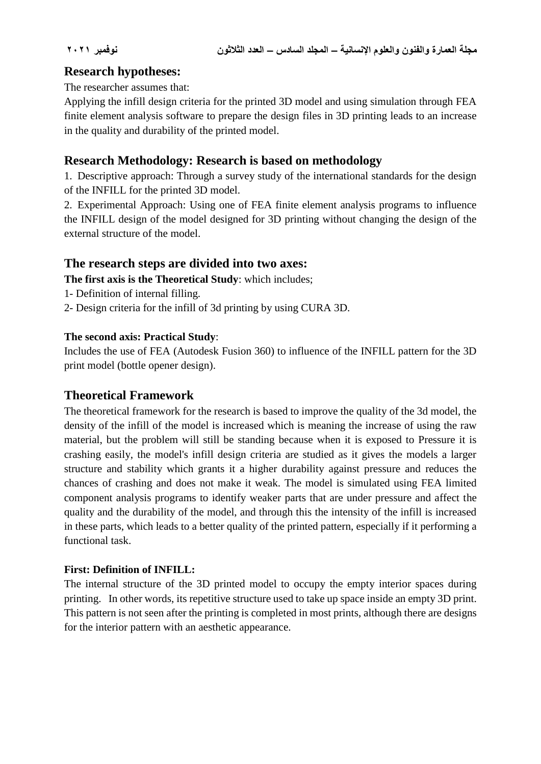# **Research hypotheses:**

The researcher assumes that:

Applying the infill design criteria for the printed 3D model and using simulation through FEA finite element analysis software to prepare the design files in 3D printing leads to an increase in the quality and durability of the printed model.

# **Research Methodology: Research is based on methodology**

1. Descriptive approach: Through a survey study of the international standards for the design of the INFILL for the printed 3D model.

2. Experimental Approach: Using one of FEA finite element analysis programs to influence the INFILL design of the model designed for 3D printing without changing the design of the external structure of the model.

### **The research steps are divided into two axes:**

**The first axis is the Theoretical Study**: which includes;

- 1- Definition of internal filling.
- 2- Design criteria for the infill of 3d printing by using CURA 3D.

#### **The second axis: Practical Study**:

Includes the use of FEA (Autodesk Fusion 360) to influence of the INFILL pattern for the 3D print model (bottle opener design).

### **Theoretical Framework**

The theoretical framework for the research is based to improve the quality of the 3d model, the density of the infill of the model is increased which is meaning the increase of using the raw material, but the problem will still be standing because when it is exposed to Pressure it is crashing easily, the model's infill design criteria are studied as it gives the models a larger structure and stability which grants it a higher durability against pressure and reduces the chances of crashing and does not make it weak. The model is simulated using FEA limited component analysis programs to identify weaker parts that are under pressure and affect the quality and the durability of the model, and through this the intensity of the infill is increased in these parts, which leads to a better quality of the printed pattern, especially if it performing a functional task.

#### **First: Definition of INFILL:**

The internal structure of the 3D printed model to occupy the empty interior spaces during printing. In other words, its repetitive structure used to take up space inside an empty 3D print. This pattern is not seen after the printing is completed in most prints, although there are designs for the interior pattern with an aesthetic appearance.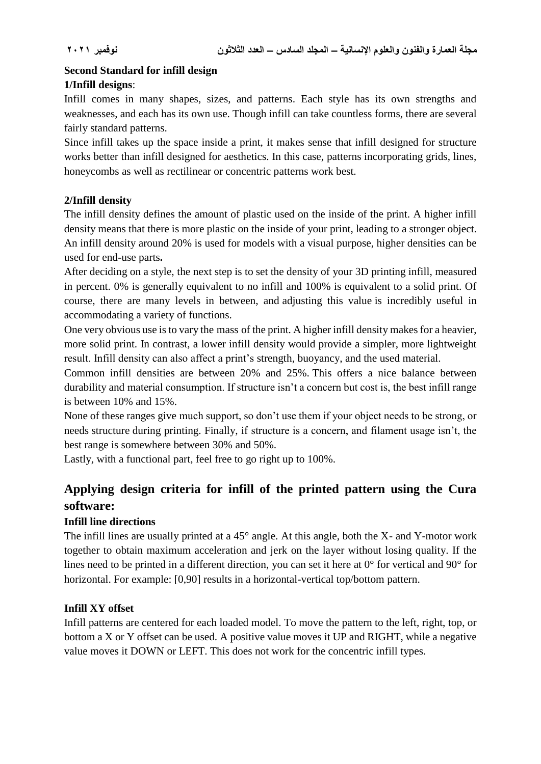### **Second Standard for infill design 1/Infill designs**:

Infill comes in many shapes, sizes, and patterns. Each style has its own strengths and weaknesses, and each has its own use. Though infill can take countless forms, there are several fairly standard patterns.

Since infill takes up the space inside a print, it makes sense that infill designed for structure works better than infill designed for aesthetics. In this case, patterns incorporating grids, lines, honeycombs as well as rectilinear or concentric patterns work best.

#### **2/Infill density**

The infill density defines the amount of plastic used on the inside of the print. A higher infill density means that there is more plastic on the inside of your print, leading to a stronger object. An infill density around 20% is used for models with a visual purpose, higher densities can be used for end-use parts**.**

After deciding on a style, the next step is to set the density of your 3D printing infill, measured in percent. 0% is generally equivalent to no infill and 100% is equivalent to a solid print. Of course, there are many levels in between, and adjusting this value is incredibly useful in accommodating a variety of functions.

One very obvious use is to vary the mass of the print. A higher infill density makes for a heavier, more solid print. In contrast, a lower infill density would provide a simpler, more lightweight result. Infill density can also affect a print's strength, buoyancy, and the used material.

Common infill densities are between 20% and 25%. This offers a nice balance between durability and material consumption. If structure isn't a concern but cost is, the best infill range is between 10% and 15%.

None of these ranges give much support, so don't use them if your object needs to be strong, or needs structure during printing. Finally, if structure is a concern, and filament usage isn't, the best range is somewhere between 30% and 50%.

Lastly, with a functional part, feel free to go right up to 100%.

# **Applying design criteria for infill of the printed pattern using the Cura software:**

#### **Infill line directions**

The infill lines are usually printed at a 45° angle. At this angle, both the X- and Y-motor work together to obtain maximum acceleration and jerk on the layer without losing quality. If the lines need to be printed in a different direction, you can set it here at 0° for vertical and 90° for horizontal. For example: [0,90] results in a horizontal-vertical top/bottom pattern.

#### **Infill XY offset**

Infill patterns are centered for each loaded model. To move the pattern to the left, right, top, or bottom a X or Y offset can be used. A positive value moves it UP and RIGHT, while a negative value moves it DOWN or LEFT. This does not work for the concentric infill types.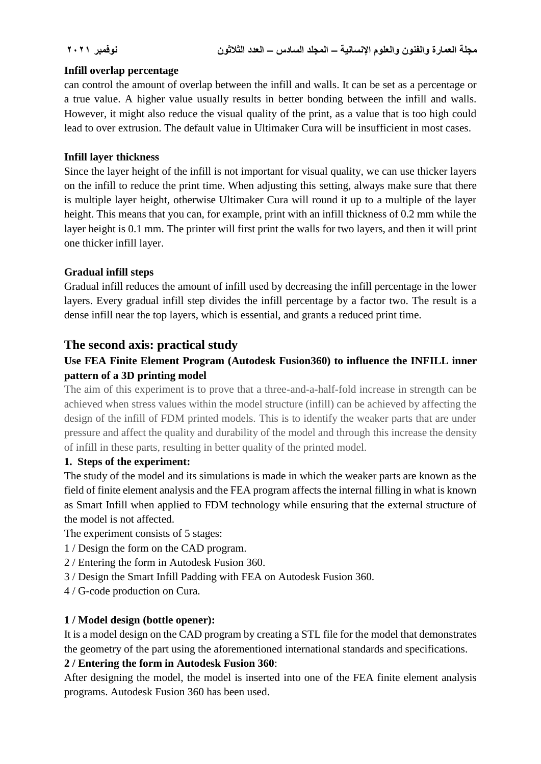#### **Infill overlap percentage**

can control the amount of overlap between the infill and walls. It can be set as a percentage or a true value. A higher value usually results in better bonding between the infill and walls. However, it might also reduce the visual quality of the print, as a value that is too high could lead to over extrusion. The default value in Ultimaker Cura will be insufficient in most cases.

#### **Infill layer thickness**

Since the layer height of the infill is not important for visual quality, we can use thicker layers on the infill to reduce the print time. When adjusting this setting, always make sure that there is multiple layer height, otherwise Ultimaker Cura will round it up to a multiple of the layer height. This means that you can, for example, print with an infill thickness of 0.2 mm while the layer height is 0.1 mm. The printer will first print the walls for two layers, and then it will print one thicker infill layer.

### **Gradual infill steps**

Gradual infill reduces the amount of infill used by decreasing the infill percentage in the lower layers. Every gradual infill step divides the infill percentage by a factor two. The result is a dense infill near the top layers, which is essential, and grants a reduced print time.

# **The second axis: practical study**

# **Use FEA Finite Element Program (Autodesk Fusion360) to influence the INFILL inner pattern of a 3D printing model**

The aim of this experiment is to prove that a three-and-a-half-fold increase in strength can be achieved when stress values within the model structure (infill) can be achieved by affecting the design of the infill of FDM printed models. This is to identify the weaker parts that are under pressure and affect the quality and durability of the model and through this increase the density of infill in these parts, resulting in better quality of the printed model.

#### **1. Steps of the experiment:**

The study of the model and its simulations is made in which the weaker parts are known as the field of finite element analysis and the FEA program affects the internal filling in what is known as Smart Infill when applied to FDM technology while ensuring that the external structure of the model is not affected.

The experiment consists of 5 stages:

- 1 / Design the form on the CAD program.
- 2 / Entering the form in Autodesk Fusion 360.
- 3 / Design the Smart Infill Padding with FEA on Autodesk Fusion 360.
- 4 / G-code production on Cura.

### **1 / Model design (bottle opener):**

It is a model design on the CAD program by creating a STL file for the model that demonstrates the geometry of the part using the aforementioned international standards and specifications.

### **2 / Entering the form in Autodesk Fusion 360**:

After designing the model, the model is inserted into one of the FEA finite element analysis programs. Autodesk Fusion 360 has been used.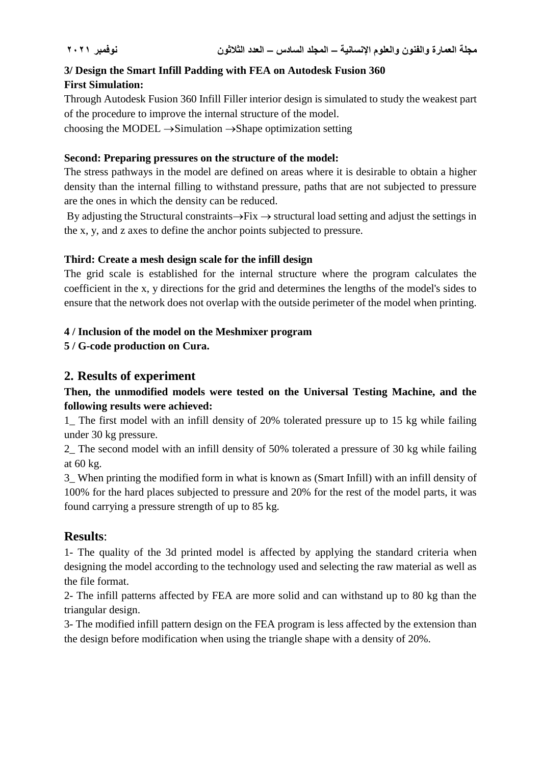# **3/ Design the Smart Infill Padding with FEA on Autodesk Fusion 360 First Simulation:**

Through Autodesk Fusion 360 Infill Filler interior design is simulated to study the weakest part of the procedure to improve the internal structure of the model.

choosing the MODEL  $\rightarrow$  Simulation  $\rightarrow$  Shape optimization setting

#### **Second: Preparing pressures on the structure of the model:**

The stress pathways in the model are defined on areas where it is desirable to obtain a higher density than the internal filling to withstand pressure, paths that are not subjected to pressure are the ones in which the density can be reduced.

By adjusting the Structural constraints $\rightarrow$ Fix  $\rightarrow$  structural load setting and adjust the settings in the x, y, and z axes to define the anchor points subjected to pressure.

#### **Third: Create a mesh design scale for the infill design**

The grid scale is established for the internal structure where the program calculates the coefficient in the x, y directions for the grid and determines the lengths of the model's sides to ensure that the network does not overlap with the outside perimeter of the model when printing.

#### **4 / Inclusion of the model on the Meshmixer program**

**5 / G-code production on Cura.**

# **2. Results of experiment**

### **Then, the unmodified models were tested on the Universal Testing Machine, and the following results were achieved:**

1\_ The first model with an infill density of 20% tolerated pressure up to 15 kg while failing under 30 kg pressure.

2\_ The second model with an infill density of 50% tolerated a pressure of 30 kg while failing at 60 kg.

3\_ When printing the modified form in what is known as (Smart Infill) with an infill density of 100% for the hard places subjected to pressure and 20% for the rest of the model parts, it was found carrying a pressure strength of up to 85 kg.

# **Results**:

1- The quality of the 3d printed model is affected by applying the standard criteria when designing the model according to the technology used and selecting the raw material as well as the file format.

2- The infill patterns affected by FEA are more solid and can withstand up to 80 kg than the triangular design.

3- The modified infill pattern design on the FEA program is less affected by the extension than the design before modification when using the triangle shape with a density of 20%.